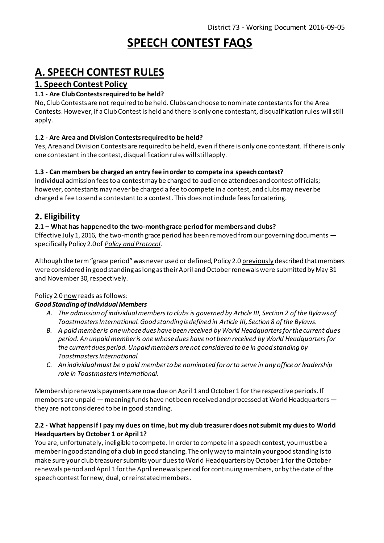# **SPEECH CONTEST FAQS**

# **A. SPEECH CONTEST RULES**

# **1. Speech Contest Policy**

#### **1.1 - Are Club Contests required to be held?**

No, Club Contests are not required to be held. Clubs can choose to nominate contestants for the Area Contests. However, if a Club Contest is held and there is only one contestant, disqualification rules will still apply.

#### **1.2 - Are Area and Division Contestsrequired to be held?**

Yes, Area and Division Contests are required to be held, even if there is only one contestant. If there is only one contestantin the contest, disqualification rules willstill apply.

#### **1.3 - Can members be charged an entry fee in order to compete in a speech contest?**

Individual admission fees to a contest may be charged to audience attendees and contest officials; however, contestants may never be charged a fee to compete in a contest, and clubs may never be charged a fee to send a contestant to a contest. This does not include fees for catering.

# **2. Eligibility**

#### **2.1 – What has happened to the two-month grace period for members and clubs?**

Effective July 1, 2016, the two-month grace period has been removed from our governing documents  $$ specifically Policy 2.0 of *[Policy and Protocol](http://www.toastmasters.org/Leadership-Central/Governing-Documents#Policy20ClubandMembershipEligibility453)*.

Although the term "grace period" was never used or defined, Policy 2.0 previously described that members were considered in good standing as long as their April and October renewals were submitted by May 31 and November 30, respectively.

#### Policy 2.0 now reads as follows:

#### *Good Standing of Individual Members*

- *A. The admission of individual members to clubs is governed by [Article III,](http://www.toastmasters.org/leadership%20central/governing%20documents#ArticleIIIMembership17) Section 2 of the Bylaws of Toastmasters International. Good standing is defined in [Article III,](http://www.toastmasters.org/leadership%20central/governing%20documents#ArticleIIIMembership17) Section 8 of the Bylaws.*
- *B. A paid member is one whose dues have been received by World Headquarters for the current dues period. An unpaid member is one whose dues have not been received by World Headquarters for the current dues period. Unpaid members are not considered to be in good standing by Toastmasters International.*
- *C. An individual must be a paid member to be nominated for or to serve in any office or leadership role in Toastmasters International.*

Membership renewals payments are now due on April 1 and October 1 for the respective periods. If members are unpaid — meaning funds have not been received and processed at World Headquarters they are not considered to be in good standing.

#### **2.2 - What happens if I pay my dues on time, but my club treasurer does not submit my dues to World Headquarters by October 1 or April 1?**

You are, unfortunately, ineligible to compete. In order to compete in a speech contest, you must be a member in good standing of a club in good standing. The only way to maintain your good standing is to make sure your club treasurer submits your dues to World Headquarters by October 1 for the October renewals period and April 1 for the April renewals period for continuing members, or by the date of the speech contest for new, dual, or reinstated members.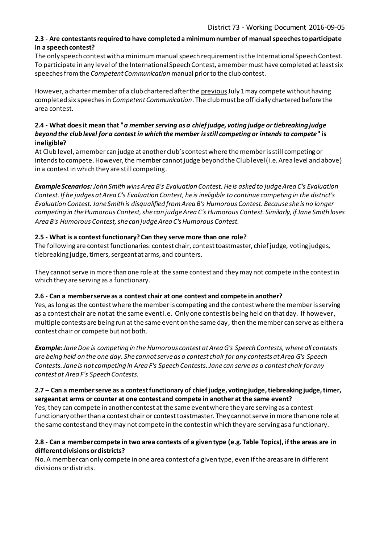#### **2.3 - Are contestants required to have completed a minimum number of manual speeches to participate in a speech contest?**

The only speech contest with a minimum manual speech requirement is the International Speech Contest. To participate in any level of the International Speech Contest, a member must have completed at least six speeches fromthe *Competent Communication* manual prior to the club contest.

However, a charter member of a club chartered after the previousJuly 1 may compete without having completed six speeches in *Competent Communication*. The club must be officially chartered before the area contest.

#### **2.4 - What does it mean that "***a member serving as a chief judge, voting judge or tiebreaking judge beyond the club level for a contest in which the member is still competing or intends to compete***" is ineligible?**

At Club level, a member can judge at another club's contest where the member is still competing or intends to compete. However, the member cannot judge beyond the Club level (i.e. Area level and above) in a contestin which they are still competing.

*Example Scenarios: John Smith wins Area B's Evaluation Contest. He is asked to judge Area C's Evaluation Contest. If he judges at Area C's Evaluation Contest, he is ineligible to continue competing in the district's Evaluation Contest. Jane Smith is disqualified from Area B's Humorous Contest. Because she is no longer competing in the Humorous Contest, she can judge Area C's Humorous Contest. Similarly, if Jane Smith loses Area B's Humorous Contest, she can judge Area C's Humorous Contest.*

#### **2.5 - What is a contest functionary? Can they serve more than one role?**

The following are contest functionaries: contest chair, contest toastmaster, chief judge, voting judges, tiebreaking judge, timers, sergeant at arms, and counters.

They cannot serve in more than one role at the same contest and they may not compete in the contest in which they are serving as a functionary.

#### **2.6 - Can a member serve as a contest chair at one contest and compete in another?**

Yes, as long as the contest where the member is competing and the contest where the member is serving as a contest chair are not at the same event i.e. Only one contest is being held on that day. If however, multiple contests are being run at the same event on the same day, then the member can serve as either a contest chair or compete but not both.

*Example:Jane Doe is competing in the Humorous contest at Area G's Speech Contests, where all contests are being held on the one day. She cannot serve as a contest chair for any contests at Area G's Speech Contests. Jane is not competing in Area F's Speech Contests. Jane can serve as a contest chair for any contest at Area F's Speech Contests.*

#### **2.7 – Can a member serve as a contest functionary of chief judge, voting judge, tiebreaking judge, timer, sergeant at arms or counter at one contest and compete in another at the same event?**

Yes, they can compete in another contest at the same event where they are serving as a contest functionary other than a contest chair or contest toastmaster. They cannot serve in more than one role at the same contest and they may not compete in the contest in which they are serving as a functionary.

#### **2.8 - Can a member compete in two area contests of a given type (e.g. Table Topics), if the areas are in different divisions or districts?**

No. A member can only compete in one area contest of a given type, even if the areas are in different divisions or districts.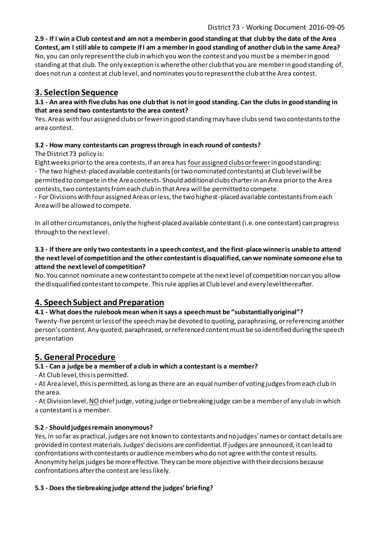**2.9 - If I win a Club contest and am not a member in good standing at that club by the date of the Area Contest, am I still able to compete if I am a member in good standing of another club in the same Area?** No, you can only represent the club in which you won the contest and you must be a member in good standing at that club. The only exception is where the other club that you are member in good standing of, does not run a contest at club level, and nominates you to represent the club at the Area contest.

# **3. Selection Sequence**

#### **3.1 - An area with five clubs has one club that is not in good standing. Can the clubs in good standing in that area send two contestants to the area contest?**

Yes. Areas with four assigned clubs or fewer in good standing may have clubs send two contestants to the area contest.

## **3.2 - How many contestants can progress through in each round of contests?**

## The District 73 policy is:

Eight weeks prior to the area contests, if an area has four assigned clubs or fewerin good standing: - The two highest-placed available contestants (ortwo nominated contestants) at Club level will be permitted to compete in the Area contests. Should additional clubs charter in an Area prior to the Area contests, two contestants from each club in that Area will be permitted to compete.

- For Divisions with four assigned Areas or less, the two highest-placed available contestants from each Area will be allowed to compete.

In all other circumstances, only the highest-placed available contestant(i.e. one contestant) can progress through to the next level.

#### **3.3 - If there are only two contestants in a speech contest, and the first-place winner is unable to attend the next level of competition and the other contestant is disqualified, can we nominate someone else to attend the next level of competition?**

No. You cannot nominate a new contestant to compete at the next level of competition nor can you allow the disqualified contestant to compete. This rule applies at Club level and every level thereafter.

# **4. Speech Subject and Preparation**

#### **4.1 - What does the rulebook mean when it says a speech must be "substantially original"?**

Twenty-five percent or less of the speech may be devoted to quoting, paraphrasing, or referencing another person's content. Any quoted, paraphrased, or referenced content must be so identified during the speech presentation

# **5. General Procedure**

#### **5.1 - Can a judge be a member of a club in which a contestant is a member?**

- At Club level, this is permitted.

**-** At Area level, this is permitted, as long as there are an equal number of voting judges from each club in the area.

- At Division level, NO chief judge, voting judge or tiebreaking judge can be a member of any club in which a contestant is a member.

#### **5.2 - Should judges remain anonymous?**

Yes, in so far as practical, judges are not known to contestants and no judges' names or contact details are provided in contest materials. Judges' decisions are confidential. If judges are announced, it can lead to confrontations with contestants or audience members who do not agree with the contest results. Anonymity helps judges be more effective. They can be more objective with their decisions because confrontations after the contest are less likely.

#### **5.3 - Does the tiebreaking judge attend the judges' briefing?**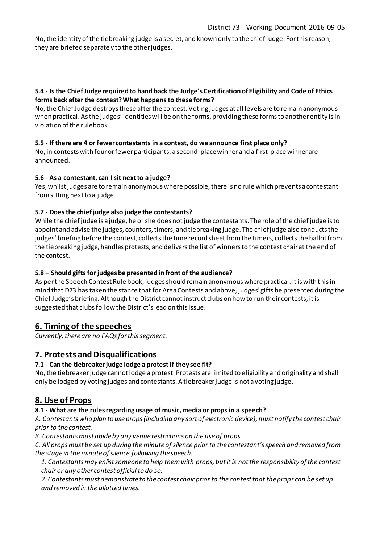No, the identity of the tiebreaking judge is a secret, and known only to the chief judge. For this reason, they are briefed separately to the other judges.

#### **5.4 - Is the Chief Judge required to hand back the Judge's Certification of Eligibility and Code of Ethics forms back after the contest? What happens to these forms?**

No, the Chief Judge destroys these after the contest. Voting judges at all levels are to remain anonymous when practical. As the judges' identities will be on the forms, providing these forms to another entity is in violation of the rulebook.

#### **5.5 - If there are 4 or fewer contestants in a contest, do we announce first place only?**

No, in contests with four or fewer participants, a second-place winner and a first-place winner are announced.

#### **5.6 - As a contestant, can I sit next to a judge?**

Yes, whilst judges are to remain anonymous where possible, there is no rule which prevents a contestant from sitting next to a judge.

#### **5.7 - Does the chief judge also judge the contestants?**

While the chief judge is a judge, he or she does not judge the contestants. The role of the chief judge is to appoint and advise the judges, counters, timers, and tiebreaking judge. The chief judge also conducts the judges' briefing before the contest, collects the time record sheet from the timers, collects the ballot from the tiebreaking judge, handles protests, and delivers the list of winners to the contest chair at the end of the contest.

#### **5.8 – Should gifts for judges be presented in front of the audience?**

As per the Speech Contest Rule book, judges should remain anonymous where practical. It is with this in mind that D73 has taken the stance that for Area Contests and above, judges' gifts be presented during the Chief Judge's briefing. Although the District cannot instruct clubs on how to run their contests, it is suggested that clubs follow the District's lead on this issue.

## **6. Timing of the speeches**

*Currently, there are no FAQs for this segment.*

## **7. Protests and Disqualifications**

#### **7.1 - Can the tiebreaker judge lodge a protest if they see fit?**

No, the tiebreaker judge cannot lodge a protest. Protests are limited to eligibility and originality and shall only be lodged by voting judges and contestants. A tiebreaker judge is not a voting judge.

## **8. Use of Props**

#### **8.1 - What are the rules regarding usage of music, media or props in a speech?**

*A. Contestants who plan to use props (including any sort of electronic device), must notify the contest chair prior to the contest.*

*B. Contestants must abide by any venue restrictions on the use of props.*

*C. All props must be set up during the minute of silence prior to the contestant's speech and removed from the stage in the minute of silence following the speech.*

*1. Contestants may enlist someone to help them with props, but it is not the responsibility of the contest chair or any other contest official to do so.*

*2. Contestants must demonstrate to the contest chair prior to the contest that the props can be set up and removed in the allotted times.*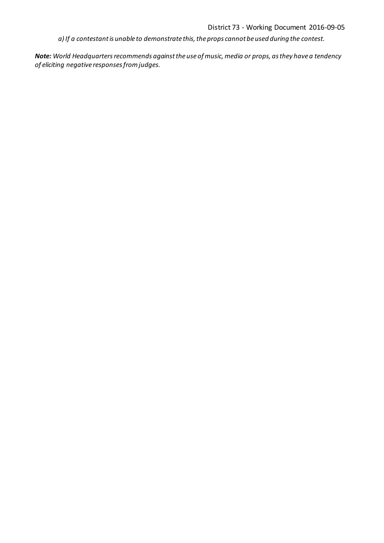*a) If a contestant is unable to demonstrate this, the props cannot be used during the contest.*

*Note: World Headquarters recommends against the use of music, media or props, as they have a tendency of eliciting negative responses from judges.*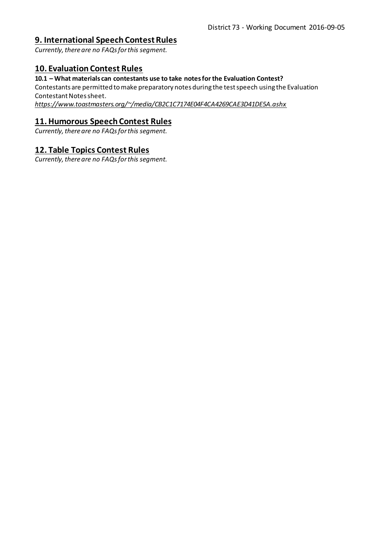## **9. International Speech Contest Rules**

*Currently, there are no FAQs for this segment.*

## **10. Evaluation Contest Rules**

#### **10.1 – What materials can contestants use to take notes for the Evaluation Contest?**

Contestants are permitted to make preparatory notes during the test speech using the Evaluation Contestant Notes sheet.

*<https://www.toastmasters.org/~/media/CB2C1C7174E04F4CA4269CAE3D41DE5A.ashx>*

## **11. Humorous Speech Contest Rules**

*Currently, there are no FAQs for this segment.*

## **12. Table Topics Contest Rules**

*Currently, there are no FAQs for this segment.*